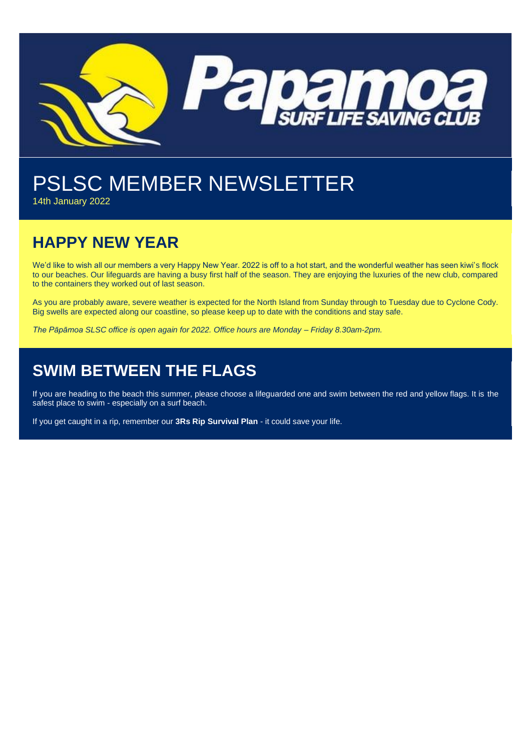

# PSLSC MEMBER NEWSLETTER

14th January 2022

## **HAPPY NEW YEAR**

We'd like to wish all our members a very Happy New Year. 2022 is off to a hot start, and the wonderful weather has seen kiwi's flock to our beaches. Our lifeguards are having a busy first half of the season. They are enjoying the luxuries of the new club, compared to the containers they worked out of last season.

As you are probably aware, severe weather is expected for the North Island from Sunday through to Tuesday due to Cyclone Cody. Big swells are expected along our coastline, so please keep up to date with the conditions and stay safe.

*The Pāpāmoa SLSC office is open again for 2022. Office hours are Monday – Friday 8.30am-2pm.*

## **SWIM BETWEEN THE FLAGS**

If you are heading to the beach this summer, please choose a lifeguarded one and swim between the red and yellow flags. It is the safest place to swim - especially on a surf beach.

If you get caught in a rip, remember our **3Rs Rip Survival Plan** - it could save your life.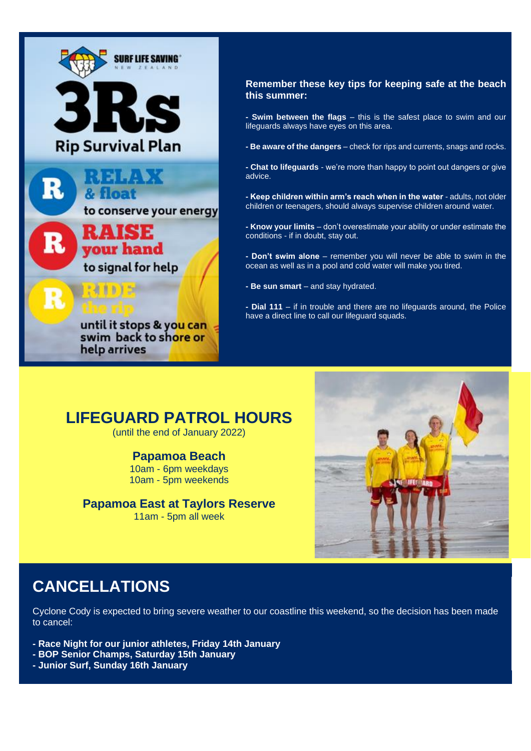

#### **Remember these key tips for keeping safe at the beach this summer:**

**- Swim between the flags** – this is the safest place to swim and our lifeguards always have eyes on this area.

**- Be aware of the dangers** – check for rips and currents, snags and rocks.

**- Chat to lifeguards** - we're more than happy to point out dangers or give advice.

**- Keep children within arm's reach when in the water** - adults, not older children or teenagers, should always supervise children around water.

**- Know your limits** – don't overestimate your ability or under estimate the conditions - if in doubt, stay out.

**- Don't swim alone** – remember you will never be able to swim in the ocean as well as in a pool and cold water will make you tired.

**- Be sun smart** – and stay hydrated.

**- Dial 111** – if in trouble and there are no lifeguards around, the Police have a direct line to call our lifeguard squads.

#### **LIFEGUARD PATROL HOURS**

(until the end of January 2022)

#### **Papamoa Beach**

10am - 6pm weekdays 10am - 5pm weekends

#### **Papamoa East at Taylors Reserve**

11am - 5pm all week



#### **CANCELLATIONS**

Cyclone Cody is expected to bring severe weather to our coastline this weekend, so the decision has been made to cancel:

- **- Race Night for our junior athletes, Friday 14th January**
- **- BOP Senior Champs, Saturday 15th January**
- **- Junior Surf, Sunday 16th January**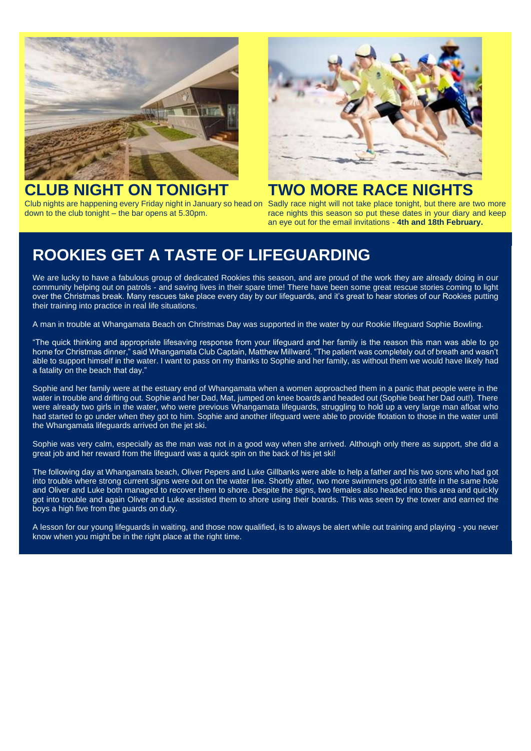

# **CLUB NIGHT ON TONIGHT**

Club nights are happening every Friday night in January so head on Sadly race night will not take place tonight, but there are two more down to the club tonight – the bar opens at 5.30pm.



# **TWO MORE RACE NIGHTS**

race nights this season so put these dates in your diary and keep an eye out for the email invitations - **4th and 18th February.**

## **ROOKIES GET A TASTE OF LIFEGUARDING**

We are lucky to have a fabulous group of dedicated Rookies this season, and are proud of the work they are already doing in our community helping out on patrols - and saving lives in their spare time! There have been some great rescue stories coming to light over the Christmas break. Many rescues take place every day by our lifeguards, and it's great to hear stories of our Rookies putting their training into practice in real life situations.

A man in trouble at Whangamata Beach on Christmas Day was supported in the water by our Rookie lifeguard Sophie Bowling.

"The quick thinking and appropriate lifesaving response from your lifeguard and her family is the reason this man was able to go home for Christmas dinner," said Whangamata Club Captain, Matthew Millward. "The patient was completely out of breath and wasn't able to support himself in the water. I want to pass on my thanks to Sophie and her family, as without them we would have likely had a fatality on the beach that day."

Sophie and her family were at the estuary end of Whangamata when a women approached them in a panic that people were in the water in trouble and drifting out. Sophie and her Dad, Mat, jumped on knee boards and headed out (Sophie beat her Dad out!). There were already two girls in the water, who were previous Whangamata lifeguards, struggling to hold up a very large man afloat who had started to go under when they got to him. Sophie and another lifeguard were able to provide flotation to those in the water until the Whangamata lifeguards arrived on the jet ski.

Sophie was very calm, especially as the man was not in a good way when she arrived. Although only there as support, she did a great job and her reward from the lifeguard was a quick spin on the back of his jet ski!

The following day at Whangamata beach, Oliver Pepers and Luke Gillbanks were able to help a father and his two sons who had got into trouble where strong current signs were out on the water line. Shortly after, two more swimmers got into strife in the same hole and Oliver and Luke both managed to recover them to shore. Despite the signs, two females also headed into this area and quickly got into trouble and again Oliver and Luke assisted them to shore using their boards. This was seen by the tower and earned the boys a high five from the guards on duty.

A lesson for our young lifeguards in waiting, and those now qualified, is to always be alert while out training and playing - you never know when you might be in the right place at the right time.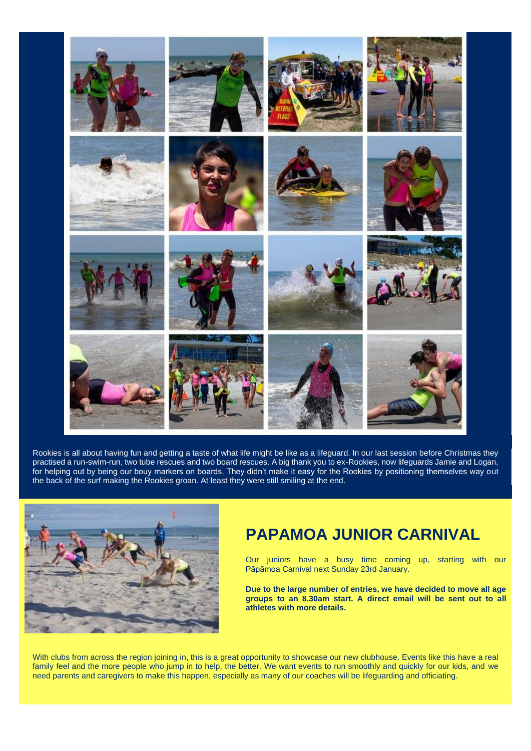

Rookies is all about having fun and getting a taste of what life might be like as a lifeguard. In our last session before Christmas they practised a run-swim-run, two tube rescues and two board rescues. A big thank you to ex-Rookies, now lifeguards Jamie and Logan, for helping out by being our bouy markers on boards. They didn't make it easy for the Rookies by positioning themselves way out the back of the surf making the Rookies groan. At least they were still smiling at the end.



#### **PAPAMOA JUNIOR CARNIVAL**

Our juniors have a busy time coming up, starting with our Pāpāmoa Carnival next Sunday 23rd January.

**Due to the large number of entries, we have decided to move all age groups to an 8.30am start. A direct email will be sent out to all athletes with more details.** 

With clubs from across the region joining in, this is a great opportunity to showcase our new clubhouse. Events like this have a real family feel and the more people who jump in to help, the better. We want events to run smoothly and quickly for our kids, and we need parents and caregivers to make this happen, especially as many of our coaches will be lifeguarding and officiating.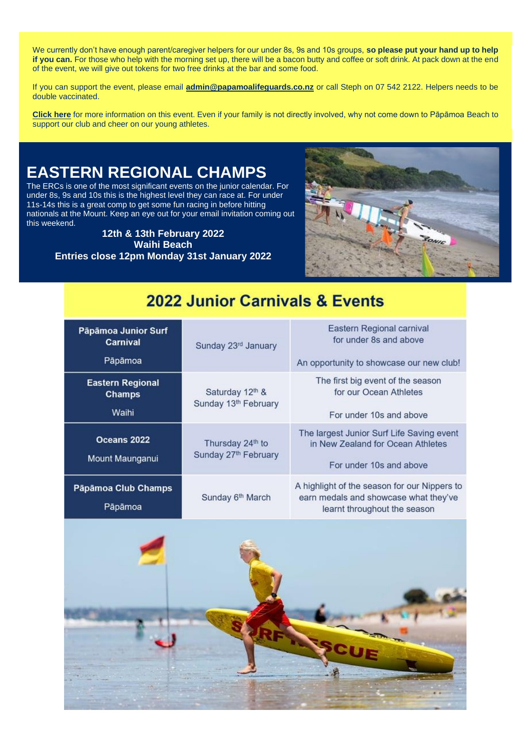We currently don't have enough parent/caregiver helpers for our under 8s, 9s and 10s groups, **so please put your hand up to help if you can.** For those who help with the morning set up, there will be a bacon butty and coffee or soft drink. At pack down at the end of the event, we will give out tokens for two free drinks at the bar and some food.

If you can support the event, please email **[admin@papamoalifeguards.co.nz](mailto:admin@papamoalifeguards.co.nz)** or call Steph on 07 542 2122. Helpers needs to be double vaccinated.

**[Click here](https://www.surflifesaving.org.nz/calendar/2022/january/papamoa-junior-surf-carnival-2022)** for more information on this event. Even if your family is not directly involved, why not come down to Pāpāmoa Beach to support our club and cheer on our young athletes.

# **EASTERN REGIONAL CHAMPS**

The ERCs is one of the most significant events on the junior calendar. For under 8s, 9s and 10s this is the highest level they can race at. For under 11s-14s this is a great comp to get some fun racing in before hitting nationals at the Mount. Keep an eye out for your email invitation coming out this weekend.

> **12th & 13th February 2022 Waihi Beach Entries close 12pm Monday 31st January 2022**



#### 2022 Junior Carnivals & Events

| Pāpāmoa Junior Surf<br><b>Carnival</b><br>Pāpāmoa | Sunday 23rd January                      | Eastern Regional carnival<br>for under 8s and above<br>An opportunity to showcase our new club!                       |
|---------------------------------------------------|------------------------------------------|-----------------------------------------------------------------------------------------------------------------------|
| <b>Eastern Regional</b><br>Champs<br>Waihi        | Saturday 12th &<br>Sunday 13th February  | The first big event of the season<br>for our Ocean Athletes<br>For under 10s and above                                |
| Oceans 2022<br>Mount Maunganui                    | Thursday 24th to<br>Sunday 27th February | The largest Junior Surf Life Saving event<br>in New Zealand for Ocean Athletes<br>For under 10s and above             |
| Pāpāmoa Club Champs<br>Pāpāmoa                    | Sunday 6th March                         | A highlight of the season for our Nippers to<br>earn medals and showcase what they've<br>learnt throughout the season |